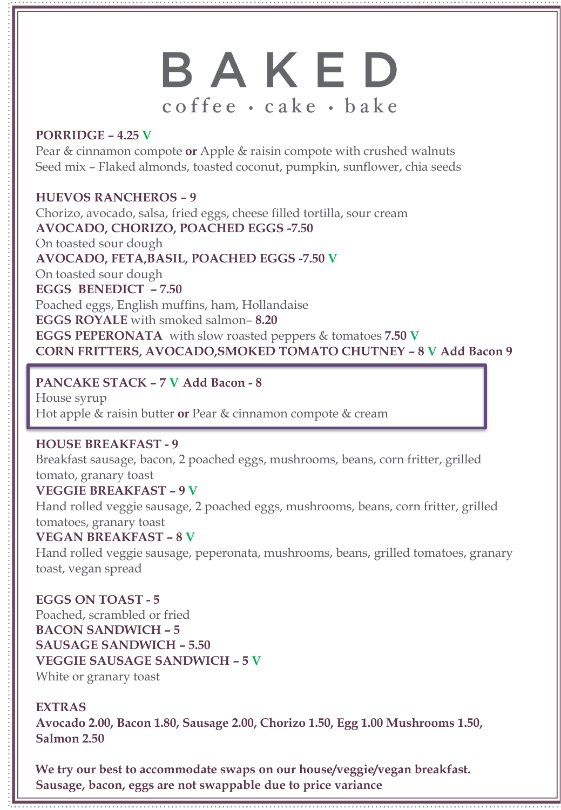# BAKED coffee · cake · bake

### **PORRIDGE – 4.25 V**

Pear & cinnamon compote **or** Apple & raisin compote with crushed walnuts Seed mix – Flaked almonds, toasted coconut, pumpkin, sunflower, chia seeds

**HUEVOS RANCHEROS – 9** Chorizo, avocado, salsa, fried eggs, cheese filled tortilla, sour cream **AVOCADO, CHORIZO, POACHED EGGS -7.50** On toasted sour dough **AVOCADO, FETA,BASIL, POACHED EGGS -7.50 V** On toasted sour dough **EGGS BENEDICT – 7.50** Poached eggs, English muffins, ham, Hollandaise **EGGS ROYALE** with smoked salmon– **8.20 EGGS PEPERONATA** with slow roasted peppers & tomatoes **7.50 V CORN FRITTERS, AVOCADO,SMOKED TOMATO CHUTNEY – 8 V Add Bacon 9**

### **PANCAKE STACK – 7 V Add Bacon - 8**

House syrup Hot apple & raisin butter **or** Pear & cinnamon compote & cream

### **HOUSE BREAKFAST - 9**

Breakfast sausage, bacon, 2 poached eggs, mushrooms, beans, corn fritter, grilled tomato, granary toast

## **VEGGIE BREAKFAST – 9 V**

Hand rolled veggie sausage, 2 poached eggs, mushrooms, beans, corn fritter, grilled tomatoes, granary toast

### **VEGAN BREAKFAST – 8 V**

Hand rolled veggie sausage, peperonata, mushrooms, beans, grilled tomatoes, granary toast, vegan spread

### **EGGS ON TOAST - 5**

Poached, scrambled or fried **BACON SANDWICH – 5 SAUSAGE SANDWICH – 5.50 VEGGIE SAUSAGE SANDWICH – 5 V** White or granary toast

## **EXTRAS**

**Avocado 2.00, Bacon 1.80, Sausage 2.00, Chorizo 1.50, Egg 1.00 Mushrooms 1.50, Salmon 2.50**

**We try our best to accommodate swaps on our house/veggie/vegan breakfast. Sausage, bacon, eggs are not swappable due to price variance**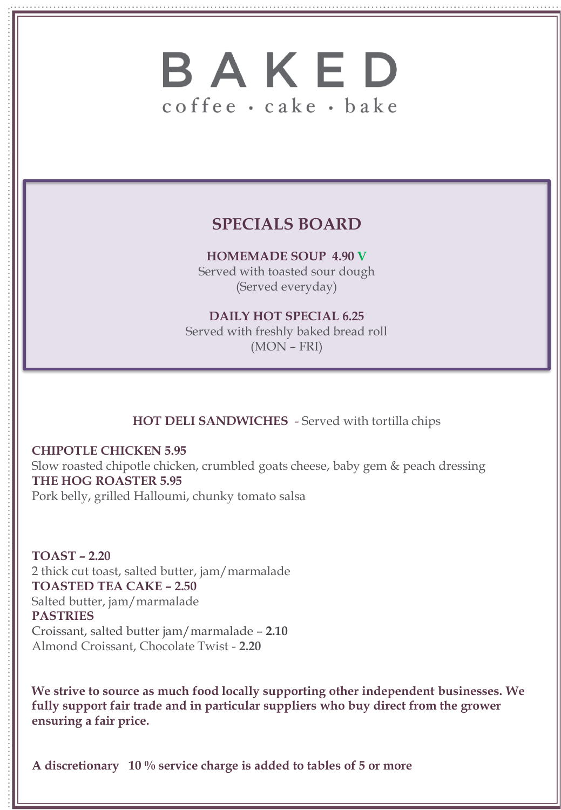# BAKED coffee · cake · bake

## **SPECIALS BOARD**

**HOMEMADE SOUP 4.90 V** Served with toasted sour dough (Served everyday)

**DAILY HOT SPECIAL 6.25** Served with freshly baked bread roll (MON – FRI)

## **HOT DELI SANDWICHES** - Served with tortilla chips

**CHIPOTLE CHICKEN 5.95** Slow roasted chipotle chicken, crumbled goats cheese, baby gem & peach dressing **THE HOG ROASTER 5.95** Pork belly, grilled Halloumi, chunky tomato salsa

**TOAST – 2.20** 2 thick cut toast, salted butter, jam/marmalade **TOASTED TEA CAKE – 2.50** Salted butter, jam/marmalade **PASTRIES** Croissant, salted butter jam/marmalade – **2.10**  Almond Croissant, Chocolate Twist - **2.20** 

**We strive to source as much food locally supporting other independent businesses. We fully support fair trade and in particular suppliers who buy direct from the grower ensuring a fair price.** 

**A discretionary 10 % service charge is added to tables of 5 or more**